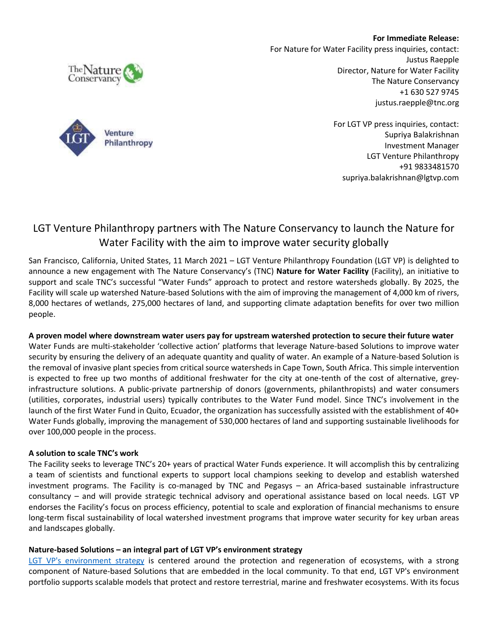**For Immediate Release:**



For Nature for Water Facility press inquiries, contact: Justus Raepple Director, Nature for Water Facility The Nature Conservancy +1 630 527 9745 justus.raepple@tnc.org

> For LGT VP press inquiries, contact: Supriya Balakrishnan Investment Manager LGT Venture Philanthropy +91 9833481570 supriya.balakrishnan@lgtvp.com

## LGT Venture Philanthropy partners with The Nature Conservancy to launch the Nature for Water Facility with the aim to improve water security globally

San Francisco, California, United States, 11 March 2021 – LGT Venture Philanthropy Foundation (LGT VP) is delighted to announce a new engagement with The Nature Conservancy's (TNC) **Nature for Water Facility** (Facility), an initiative to support and scale TNC's successful "Water Funds" approach to protect and restore watersheds globally. By 2025, the Facility will scale up watershed Nature-based Solutions with the aim of improving the management of 4,000 km of rivers, 8,000 hectares of wetlands, 275,000 hectares of land, and supporting climate adaptation benefits for over two million people.

## **A proven model where downstream water users pay for upstream watershed protection to secure their future water**

Water Funds are multi-stakeholder 'collective action' platforms that leverage Nature-based Solutions to improve water security by ensuring the delivery of an adequate quantity and quality of water. An example of a Nature-based Solution is the removal of invasive plant species from critical source watersheds in Cape Town, South Africa. This simple intervention is expected to free up two months of additional freshwater for the city at one-tenth of the cost of alternative, greyinfrastructure solutions. A public-private partnership of donors (governments, philanthropists) and water consumers (utilities, corporates, industrial users) typically contributes to the Water Fund model. Since TNC's involvement in the launch of the first Water Fund in Quito, Ecuador, the organization has successfully assisted with the establishment of 40+ Water Funds globally, improving the management of 530,000 hectares of land and supporting sustainable livelihoods for over 100,000 people in the process.

## **A solution to scale TNC's work**

The Facility seeks to leverage TNC's 20+ years of practical Water Funds experience. It will accomplish this by centralizing a team of scientists and functional experts to support local champions seeking to develop and establish watershed investment programs. The Facility is co-managed by TNC and Pegasys – an Africa-based sustainable infrastructure consultancy – and will provide strategic technical advisory and operational assistance based on local needs. LGT VP endorses the Facility's focus on process efficiency, potential to scale and exploration of financial mechanisms to ensure long-term fiscal sustainability of local watershed investment programs that improve water security for key urban areas and landscapes globally.

## **Nature-based Solutions – an integral part of LGT VP's environment strategy**

[LGT VP's environment strategy](https://www.lgtvp.com/export/sites/inta_lgtvpcom_v2/.content/downloads/220310_Environment_Strategy_vf.pdf) is centered around the protection and regeneration of ecosystems, with a strong component of Nature-based Solutions that are embedded in the local community. To that end, LGT VP's environment portfolio supports scalable models that protect and restore terrestrial, marine and freshwater ecosystems. With its focus